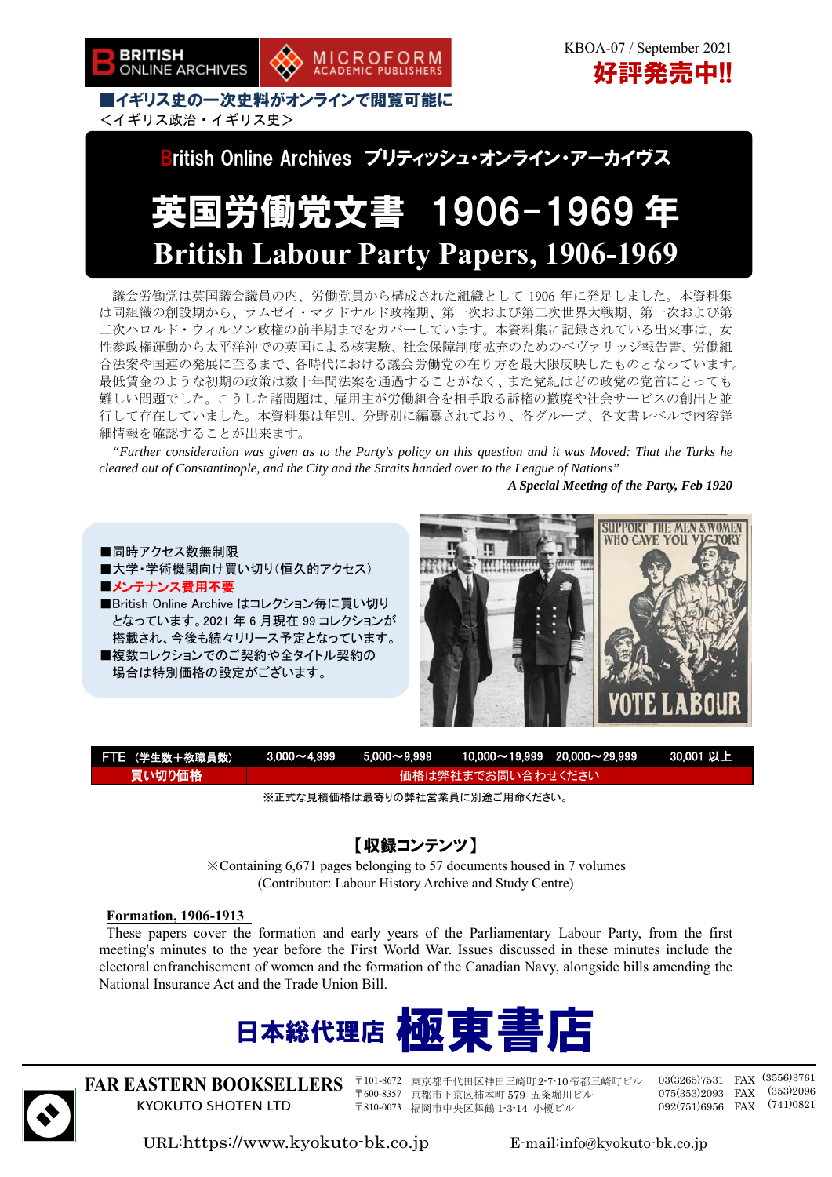



<イギリス政治・イギリス史> British Online Archives ブリティッシュ・オンライン・アーカイヴス

# 英国労働党文書 1906-1969 年 **British Labour Party Papers, 1906-1969**

議会労働党は英国議会議員の内、労働党員から構成された組織として 1906 年に発足しました。本資料集 は同組織の創設期から、ラムゼイ・マクドナルド政権期、第一次および第二次世界大戦期、第一次および第 二次ハロルド・ウィルソン政権の前半期までをカバーしています。本資料集に記録されている出来事は、女 性参政権運動から太平洋沖での英国による核実験、社会保障制度拡充のためのベヴァリッジ報告書、労働組 合法案や国連の発展に至るまで、各時代における議会労働党の在り方を最大限反映したものとなっています。 最低賃金のような初期の政策は数十年間法案を通過することがなく、また党紀はどの政党の党首にとっても 難しい問題でした。こうした諸問題は、雇用主が労働組合を相手取る訴権の撤廃や社会サービスの創出と並 行して存在していました。本資料集は年別、分野別に編纂されており、各グループ、各文書レベルで内容詳 細情報を確認することが出来ます。

*"Further consideration was given as to the Party's policy on this question and it was Moved: That the Turks he cleared out of Constantinople, and the City and the Straits handed over to the League of Nations"* 

*A Special Meeting of the Party, Feb 1920* 



| FTE (学生数+教職員数) |                   |  |  |  |  |
|----------------|-------------------|--|--|--|--|
| 買い切り価格         | 価格は弊社までお問い合わせください |  |  |  |  |
|                |                   |  |  |  |  |

※正式な見積価格は最寄りの弊社営業員に別途ご用命ください。

### 【収録コンテンツ】

※Containing 6,671 pages belonging to 57 documents housed in 7 volumes (Contributor: Labour History Archive and Study Centre)

#### **Formation, 1906-1913**

These papers cover the formation and early years of the Parliamentary Labour Party, from the first meeting's minutes to the year before the First World War. Issues discussed in these minutes include the electoral enfranchisement of women and the formation of the Canadian Navy, alongside bills amending the National Insurance Act and the Trade Union Bill.





**FAR EASTERN BOOKSELLERS**  KYOKUTO SHOTEN LTD

〒101-8672 東京都千代田区神田三崎町2-7-10帝都三崎町ビル 〒600-8357 京都市下京区柿本町 579 五条堀川ビル 〒810-0073 福岡市中央区舞鶴 1-3-14 小榎ビル

03(3265)7531 FAX (3556)3761 075(353)2093 FAX (353)2096 092(751)6956 FAX (741)0821

URL:https://www.kyokuto-bk.co.jp E-mail:info@kyokuto-bk.co.jp